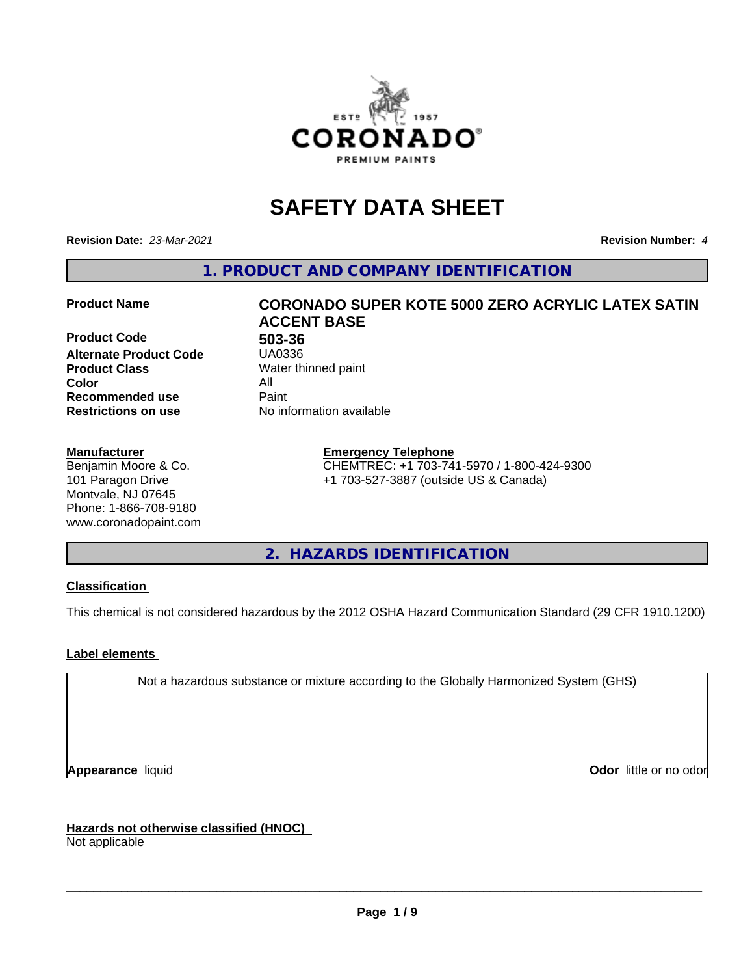

# **SAFETY DATA SHEET**

**Revision Date:** *23-Mar-2021* **Revision Number:** *4*

**1. PRODUCT AND COMPANY IDENTIFICATION**

**Product Code 613-36**<br>**Alternate Product Code** 6140336 **Alternate Product Code Product Class** Water thinned paint<br> **Color** All **Color** All **Recommended use Caint Restrictions on use** No information available

#### **Manufacturer**

Benjamin Moore & Co. 101 Paragon Drive Montvale, NJ 07645 Phone: 1-866-708-9180 www.coronadopaint.com

# **Product Name CORONADO SUPER KOTE 5000 ZERO ACRYLIC LATEX SATIN ACCENT BASE**

**Emergency Telephone** CHEMTREC: +1 703-741-5970 / 1-800-424-9300 +1 703-527-3887 (outside US & Canada)

**2. HAZARDS IDENTIFICATION**

### **Classification**

This chemical is not considered hazardous by the 2012 OSHA Hazard Communication Standard (29 CFR 1910.1200)

### **Label elements**

Not a hazardous substance or mixture according to the Globally Harmonized System (GHS)

**Appearance** liquid **Contract Contract Contract Contract Contract Contract Contract Contract Contract Contract Contract Contract Contract Contract Contract Contract Contract Contract Contract Contract Contract Contract Con** 

**Hazards not otherwise classified (HNOC)**

Not applicable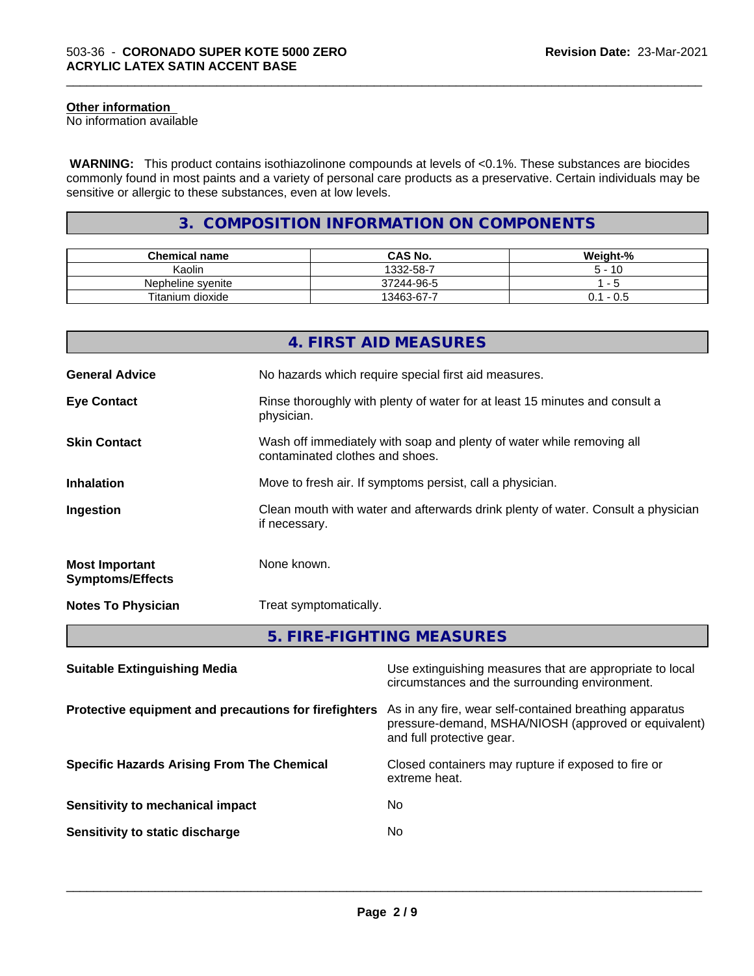#### **Other information**

No information available

 **WARNING:** This product contains isothiazolinone compounds at levels of <0.1%. These substances are biocides commonly found in most paints and a variety of personal care products as a preservative. Certain individuals may be sensitive or allergic to these substances, even at low levels.

\_\_\_\_\_\_\_\_\_\_\_\_\_\_\_\_\_\_\_\_\_\_\_\_\_\_\_\_\_\_\_\_\_\_\_\_\_\_\_\_\_\_\_\_\_\_\_\_\_\_\_\_\_\_\_\_\_\_\_\_\_\_\_\_\_\_\_\_\_\_\_\_\_\_\_\_\_\_\_\_\_\_\_\_\_\_\_\_\_\_\_\_\_

### **3. COMPOSITION INFORMATION ON COMPONENTS**

| <b>Chemical name</b> | <b>CAS No.</b> | Weight-%     |
|----------------------|----------------|--------------|
| Kaolin               | 1332-58-7      | · 10         |
| Nepheline svenite    | 37244-96-5     |              |
| Titanium dioxide     | 13463-67-7     | - U.S<br>J.I |

|                                                  | 4. FIRST AID MEASURES                                                                                                |  |
|--------------------------------------------------|----------------------------------------------------------------------------------------------------------------------|--|
| <b>General Advice</b>                            | No hazards which require special first aid measures.                                                                 |  |
| <b>Eye Contact</b>                               | Rinse thoroughly with plenty of water for at least 15 minutes and consult a<br>physician.                            |  |
| <b>Skin Contact</b>                              | Wash off immediately with soap and plenty of water while removing all<br>contaminated clothes and shoes.             |  |
| <b>Inhalation</b>                                | Move to fresh air. If symptoms persist, call a physician.                                                            |  |
| Ingestion                                        | Clean mouth with water and afterwards drink plenty of water. Consult a physician<br>if necessary.                    |  |
| <b>Most Important</b><br><b>Symptoms/Effects</b> | None known.                                                                                                          |  |
| <b>Notes To Physician</b>                        | Treat symptomatically.                                                                                               |  |
|                                                  | 5. FIRE-FIGHTING MEASURES                                                                                            |  |
| <b>Suitable Extinguishing Media</b>              | Use extinguishing measures that are appropriate to local<br>circumstances and the surrounding environment.           |  |
|                                                  | <b>Protective equipment and precautions for firefighters</b> As in any fire, wear self-contained breathing apparatus |  |

and full protective gear.

**Specific Hazards Arising From The Chemical** Closed containers may rupture ifexposed to fire or

**Sensitivity to mechanical impact** No

**Sensitivity to static discharge** No

extreme heat.

 $\overline{\phantom{a}}$  ,  $\overline{\phantom{a}}$  ,  $\overline{\phantom{a}}$  ,  $\overline{\phantom{a}}$  ,  $\overline{\phantom{a}}$  ,  $\overline{\phantom{a}}$  ,  $\overline{\phantom{a}}$  ,  $\overline{\phantom{a}}$  ,  $\overline{\phantom{a}}$  ,  $\overline{\phantom{a}}$  ,  $\overline{\phantom{a}}$  ,  $\overline{\phantom{a}}$  ,  $\overline{\phantom{a}}$  ,  $\overline{\phantom{a}}$  ,  $\overline{\phantom{a}}$  ,  $\overline{\phantom{a}}$ 

pressure-demand, MSHA/NIOSH (approved or equivalent)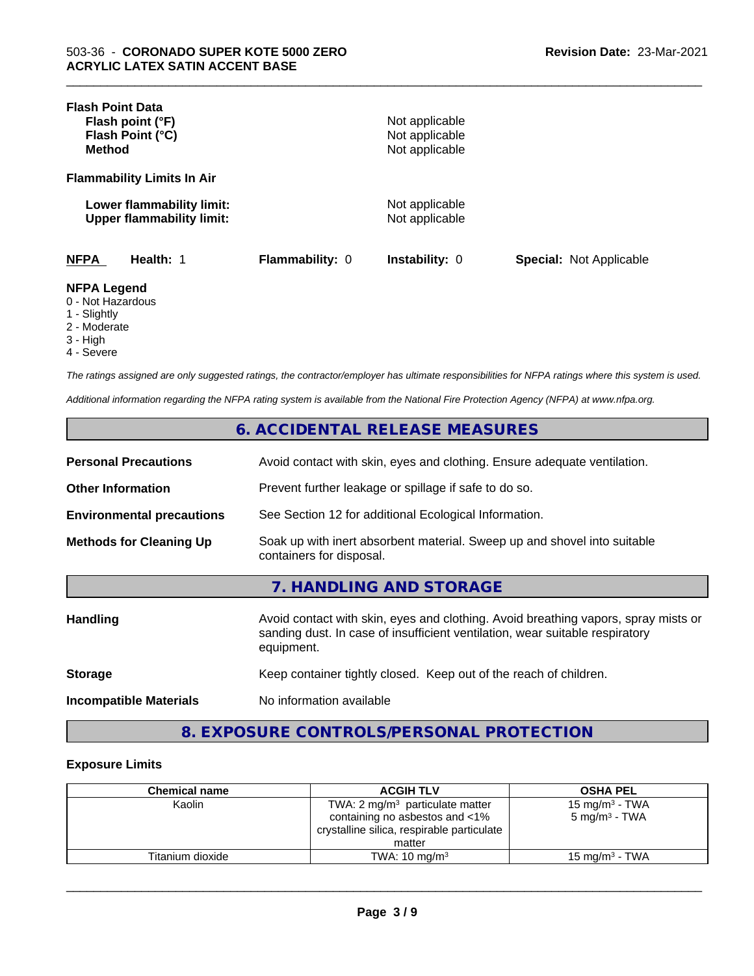| <b>Flash Point Data</b>                                                 |                 |                                  |                                |
|-------------------------------------------------------------------------|-----------------|----------------------------------|--------------------------------|
| Flash point (°F)                                                        |                 | Not applicable                   |                                |
| Flash Point (°C)                                                        |                 | Not applicable                   |                                |
| <b>Method</b>                                                           |                 | Not applicable                   |                                |
| <b>Flammability Limits In Air</b>                                       |                 |                                  |                                |
| Lower flammability limit:<br><b>Upper flammability limit:</b>           |                 | Not applicable<br>Not applicable |                                |
| <b>NFPA</b><br>Health: 1                                                | Flammability: 0 | <b>Instability: 0</b>            | <b>Special: Not Applicable</b> |
| <b>NFPA Legend</b><br>0 - Not Hazardous<br>1 - Slightly<br>2 - Moderate |                 |                                  |                                |

\_\_\_\_\_\_\_\_\_\_\_\_\_\_\_\_\_\_\_\_\_\_\_\_\_\_\_\_\_\_\_\_\_\_\_\_\_\_\_\_\_\_\_\_\_\_\_\_\_\_\_\_\_\_\_\_\_\_\_\_\_\_\_\_\_\_\_\_\_\_\_\_\_\_\_\_\_\_\_\_\_\_\_\_\_\_\_\_\_\_\_\_\_

- 3 High
- 4 Severe
- 

*The ratings assigned are only suggested ratings, the contractor/employer has ultimate responsibilities for NFPA ratings where this system is used.*

*Additional information regarding the NFPA rating system is available from the National Fire Protection Agency (NFPA) at www.nfpa.org.*

### **6. ACCIDENTAL RELEASE MEASURES**

| <b>Personal Precautions</b>      | Avoid contact with skin, eyes and clothing. Ensure adequate ventilation.                             |
|----------------------------------|------------------------------------------------------------------------------------------------------|
| <b>Other Information</b>         | Prevent further leakage or spillage if safe to do so.                                                |
| <b>Environmental precautions</b> | See Section 12 for additional Ecological Information.                                                |
| <b>Methods for Cleaning Up</b>   | Soak up with inert absorbent material. Sweep up and shovel into suitable<br>containers for disposal. |
|                                  | 7 HANDI ING AND STORAGE                                                                              |

| <b>Handling</b>               | Avoid contact with skin, eyes and clothing. Avoid breathing vapors, spray mists or<br>sanding dust. In case of insufficient ventilation, wear suitable respiratory<br>equipment. |
|-------------------------------|----------------------------------------------------------------------------------------------------------------------------------------------------------------------------------|
| <b>Storage</b>                | Keep container tightly closed. Keep out of the reach of children.                                                                                                                |
| <b>Incompatible Materials</b> | No information available                                                                                                                                                         |
|                               |                                                                                                                                                                                  |

## **8. EXPOSURE CONTROLS/PERSONAL PROTECTION**

#### **Exposure Limits**

| <b>Chemical name</b> | <b>ACGIH TLV</b>                           | <b>OSHA PEL</b>           |
|----------------------|--------------------------------------------|---------------------------|
| Kaolin               | TWA: 2 $mg/m3$ particulate matter          | 15 mg/m $3$ - TWA         |
|                      | containing no asbestos and <1%             | $5 \text{ mg/m}^3$ - TWA  |
|                      | crystalline silica, respirable particulate |                           |
|                      | matter                                     |                           |
| Titanium dioxide     | TWA: $10 \text{ ma/m}^3$                   | $15 \text{ mg/m}^3$ - TWA |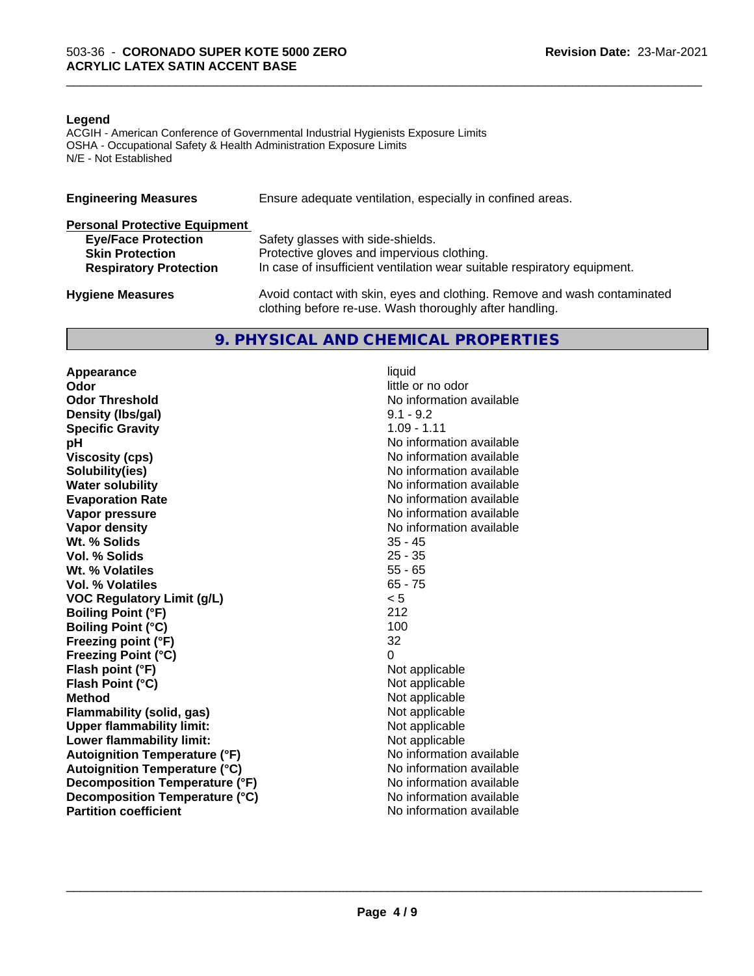#### **Legend**

ACGIH - American Conference of Governmental Industrial Hygienists Exposure Limits OSHA - Occupational Safety & Health Administration Exposure Limits N/E - Not Established

| <b>Engineering Measures</b>          | Ensure adequate ventilation, especially in confined areas.               |  |  |
|--------------------------------------|--------------------------------------------------------------------------|--|--|
| <b>Personal Protective Equipment</b> |                                                                          |  |  |
| <b>Eye/Face Protection</b>           | Safety glasses with side-shields.                                        |  |  |
| <b>Skin Protection</b>               | Protective gloves and impervious clothing.                               |  |  |
| <b>Respiratory Protection</b>        | In case of insufficient ventilation wear suitable respiratory equipment. |  |  |
| <b>Hygiene Measures</b>              | Avoid contact with skin, eyes and clothing. Remove and wash contaminated |  |  |
|                                      | clothing before re-use. Wash thoroughly after handling.                  |  |  |

### **9. PHYSICAL AND CHEMICAL PROPERTIES**

**Appearance** liquid<br> **Appearance** liquid<br> **Odor Odor Threshold** No information available **Density (Ibs/gal)** 9.1 - 9.2<br> **Specific Gravity** 1.09 - 1.11 **Specific Gravity**<br>pH **Viscosity (cps)** No information available **Solubility(ies)** No information available **Water solubility** No information available **Evaporation Rate No information available No information available Vapor pressure** No information available **No information** available **Vapor density**<br> **We Solids**<br>
We Solid Wi, % Solids
25 - 45 **Wt. % Solids** 35 - 45<br> **Vol. % Solids** 25 - 35 **Vol. % Solids Wt. % Volatiles** 55 - 65<br> **Vol. % Volatiles** 65 - 75 **Vol. % Volatiles VOC Regulatory Limit (g/L)** < 5 **Boiling Point (°F)** 212 **Boiling Point (°C)** 100 **Freezing point (°F)** 32 **Freezing Point (°C)** 0 **Flash point (°F)** Not applicable **Flash Point (°C)** Not applicable **Method**<br> **Flammability (solid, gas)**<br> **Commability (solid, gas)**<br> **Not** applicable **Flammability** (solid, gas) **Upper flammability limit:**<br> **Lower flammability limit:** Not applicable Not applicable **Lower flammability limit:**<br> **Autoignition Temperature (°F)** Not applicable available and the Mustafable and Mustafable and Mustafable and Mu **Autoignition Temperature (°F) Autoignition Temperature (°C)** No information available **Decomposition Temperature (°F)** No information available **Decomposition Temperature (°C)** No information available **Partition coefficient** and the settlement of the settlement of the No information available

**Odor** little or no odor **No information available** 

\_\_\_\_\_\_\_\_\_\_\_\_\_\_\_\_\_\_\_\_\_\_\_\_\_\_\_\_\_\_\_\_\_\_\_\_\_\_\_\_\_\_\_\_\_\_\_\_\_\_\_\_\_\_\_\_\_\_\_\_\_\_\_\_\_\_\_\_\_\_\_\_\_\_\_\_\_\_\_\_\_\_\_\_\_\_\_\_\_\_\_\_\_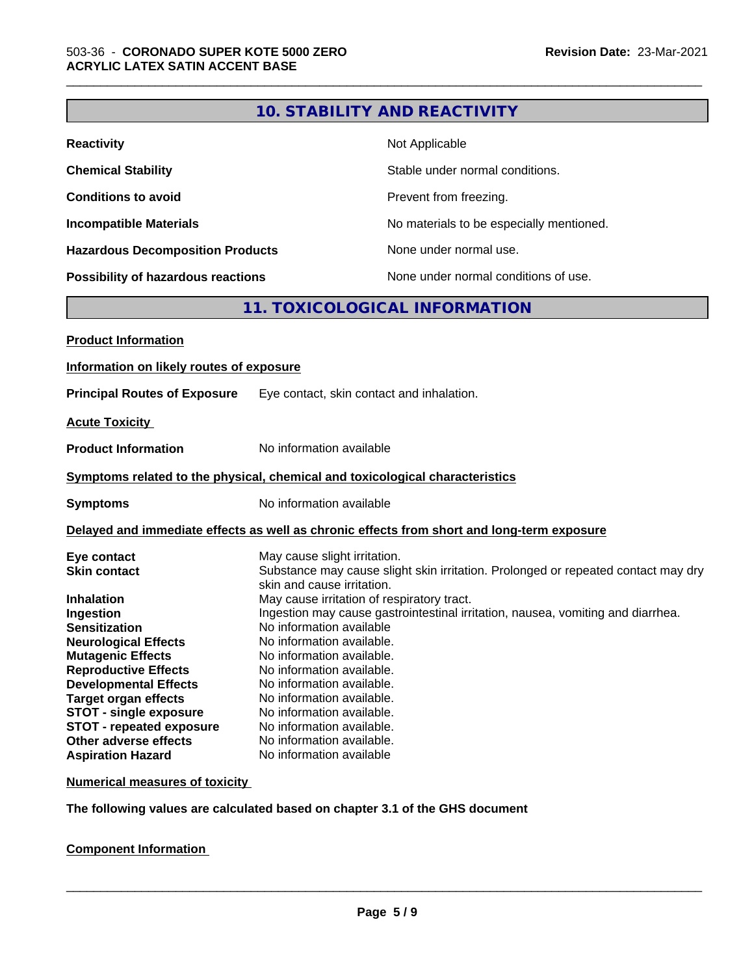|                                                                                                                                                                                                                                                                                                                                                                                |                                                                                                                                                                                                                                                                                                                                                           | <b>10. STABILITY AND REACTIVITY</b>                                                                                                                                                                                |
|--------------------------------------------------------------------------------------------------------------------------------------------------------------------------------------------------------------------------------------------------------------------------------------------------------------------------------------------------------------------------------|-----------------------------------------------------------------------------------------------------------------------------------------------------------------------------------------------------------------------------------------------------------------------------------------------------------------------------------------------------------|--------------------------------------------------------------------------------------------------------------------------------------------------------------------------------------------------------------------|
| <b>Reactivity</b>                                                                                                                                                                                                                                                                                                                                                              |                                                                                                                                                                                                                                                                                                                                                           | Not Applicable                                                                                                                                                                                                     |
| <b>Chemical Stability</b>                                                                                                                                                                                                                                                                                                                                                      |                                                                                                                                                                                                                                                                                                                                                           | Stable under normal conditions.                                                                                                                                                                                    |
| <b>Conditions to avoid</b>                                                                                                                                                                                                                                                                                                                                                     |                                                                                                                                                                                                                                                                                                                                                           | Prevent from freezing.                                                                                                                                                                                             |
| <b>Incompatible Materials</b>                                                                                                                                                                                                                                                                                                                                                  |                                                                                                                                                                                                                                                                                                                                                           | No materials to be especially mentioned.                                                                                                                                                                           |
| <b>Hazardous Decomposition Products</b>                                                                                                                                                                                                                                                                                                                                        |                                                                                                                                                                                                                                                                                                                                                           | None under normal use.                                                                                                                                                                                             |
| <b>Possibility of hazardous reactions</b>                                                                                                                                                                                                                                                                                                                                      |                                                                                                                                                                                                                                                                                                                                                           | None under normal conditions of use.                                                                                                                                                                               |
|                                                                                                                                                                                                                                                                                                                                                                                |                                                                                                                                                                                                                                                                                                                                                           | 11. TOXICOLOGICAL INFORMATION                                                                                                                                                                                      |
| <b>Product Information</b>                                                                                                                                                                                                                                                                                                                                                     |                                                                                                                                                                                                                                                                                                                                                           |                                                                                                                                                                                                                    |
| Information on likely routes of exposure                                                                                                                                                                                                                                                                                                                                       |                                                                                                                                                                                                                                                                                                                                                           |                                                                                                                                                                                                                    |
| <b>Principal Routes of Exposure</b>                                                                                                                                                                                                                                                                                                                                            |                                                                                                                                                                                                                                                                                                                                                           | Eye contact, skin contact and inhalation.                                                                                                                                                                          |
|                                                                                                                                                                                                                                                                                                                                                                                |                                                                                                                                                                                                                                                                                                                                                           |                                                                                                                                                                                                                    |
| <b>Acute Toxicity</b>                                                                                                                                                                                                                                                                                                                                                          |                                                                                                                                                                                                                                                                                                                                                           |                                                                                                                                                                                                                    |
| <b>Product Information</b>                                                                                                                                                                                                                                                                                                                                                     | No information available                                                                                                                                                                                                                                                                                                                                  |                                                                                                                                                                                                                    |
| Symptoms related to the physical, chemical and toxicological characteristics                                                                                                                                                                                                                                                                                                   |                                                                                                                                                                                                                                                                                                                                                           |                                                                                                                                                                                                                    |
| <b>Symptoms</b>                                                                                                                                                                                                                                                                                                                                                                | No information available                                                                                                                                                                                                                                                                                                                                  |                                                                                                                                                                                                                    |
|                                                                                                                                                                                                                                                                                                                                                                                |                                                                                                                                                                                                                                                                                                                                                           | Delayed and immediate effects as well as chronic effects from short and long-term exposure                                                                                                                         |
| Eye contact<br><b>Skin contact</b><br><b>Inhalation</b><br>Ingestion<br><b>Sensitization</b><br><b>Neurological Effects</b><br><b>Mutagenic Effects</b><br><b>Reproductive Effects</b><br><b>Developmental Effects</b><br><b>Target organ effects</b><br><b>STOT - single exposure</b><br><b>STOT - repeated exposure</b><br>Other adverse effects<br><b>Aspiration Hazard</b> | May cause slight irritation.<br>skin and cause irritation.<br>No information available<br>No information available<br>No information available.<br>No information available.<br>No information available.<br>No information available.<br>No information available.<br>No information available.<br>No information available.<br>No information available | Substance may cause slight skin irritation. Prolonged or repeated contact may dry<br>May cause irritation of respiratory tract.<br>Ingestion may cause gastrointestinal irritation, nausea, vomiting and diarrhea. |

\_\_\_\_\_\_\_\_\_\_\_\_\_\_\_\_\_\_\_\_\_\_\_\_\_\_\_\_\_\_\_\_\_\_\_\_\_\_\_\_\_\_\_\_\_\_\_\_\_\_\_\_\_\_\_\_\_\_\_\_\_\_\_\_\_\_\_\_\_\_\_\_\_\_\_\_\_\_\_\_\_\_\_\_\_\_\_\_\_\_\_\_\_

**Numerical measures of toxicity**

**The following values are calculated based on chapter 3.1 of the GHS document**

**Component Information**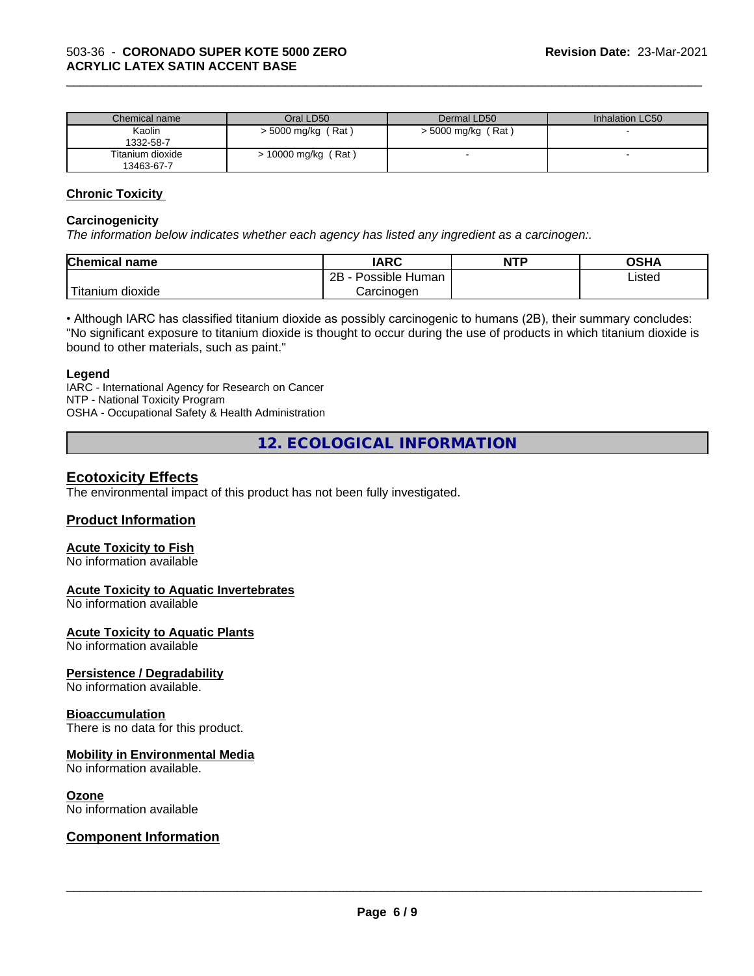| Chemical name    | Oral LD50                | Dermal LD50          | Inhalation LC50 |
|------------------|--------------------------|----------------------|-----------------|
| Kaolin           | $>$ 5000 mg/kg (Rat)     | $>$ 5000 mg/kg (Rat) |                 |
| 1332-58-7        |                          |                      |                 |
| Titanium dioxide | (Rat)<br>10000 mg/kg $/$ |                      |                 |
| 13463-67-7       |                          |                      |                 |

\_\_\_\_\_\_\_\_\_\_\_\_\_\_\_\_\_\_\_\_\_\_\_\_\_\_\_\_\_\_\_\_\_\_\_\_\_\_\_\_\_\_\_\_\_\_\_\_\_\_\_\_\_\_\_\_\_\_\_\_\_\_\_\_\_\_\_\_\_\_\_\_\_\_\_\_\_\_\_\_\_\_\_\_\_\_\_\_\_\_\_\_\_

#### **Chronic Toxicity**

#### **Carcinogenicity**

*The information below indicateswhether each agency has listed any ingredient as a carcinogen:.*

| <b>Chemical</b><br>name            | <b>IARC</b>                  | <b>NTP</b> | ດເ⊔∧<br>∪אח |
|------------------------------------|------------------------------|------------|-------------|
|                                    | .<br>2B<br>Human<br>Possible |            | ∟isted<br>. |
| .<br><br>dioxide<br><b>itanium</b> | Carcinoɑen                   |            |             |

• Although IARC has classified titanium dioxide as possibly carcinogenic to humans (2B), their summary concludes: "No significant exposure to titanium dioxide is thought to occur during the use of products in which titanium dioxide is bound to other materials, such as paint."

#### **Legend**

IARC - International Agency for Research on Cancer NTP - National Toxicity Program OSHA - Occupational Safety & Health Administration

**12. ECOLOGICAL INFORMATION**

### **Ecotoxicity Effects**

The environmental impact of this product has not been fully investigated.

#### **Product Information**

#### **Acute Toxicity to Fish**

No information available

#### **Acute Toxicity to Aquatic Invertebrates**

No information available

#### **Acute Toxicity to Aquatic Plants**

No information available

#### **Persistence / Degradability**

No information available.

#### **Bioaccumulation**

There is no data for this product.

#### **Mobility in Environmental Media**

No information available.

#### **Ozone**

No information available

#### **Component Information**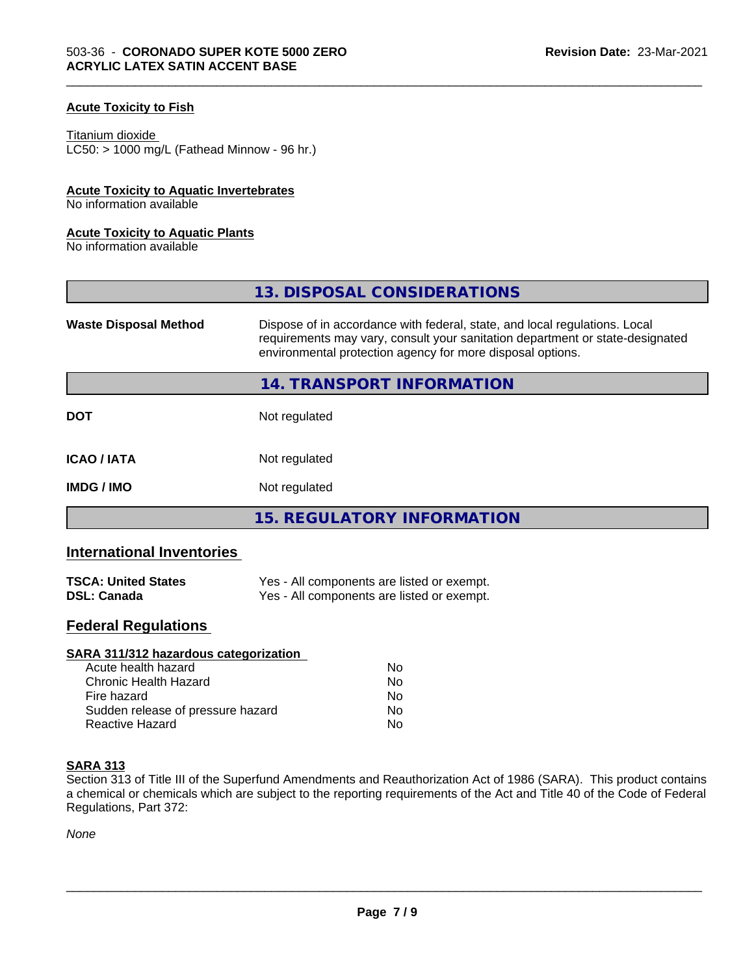#### **Acute Toxicity to Fish**

## Titanium dioxide

 $LC50:$  > 1000 mg/L (Fathead Minnow - 96 hr.)

#### **Acute Toxicity to Aquatic Invertebrates**

No information available

#### **Acute Toxicity to Aquatic Plants**

No information available

|                              | 13. DISPOSAL CONSIDERATIONS                                                                                                                                                                                               |
|------------------------------|---------------------------------------------------------------------------------------------------------------------------------------------------------------------------------------------------------------------------|
| <b>Waste Disposal Method</b> | Dispose of in accordance with federal, state, and local regulations. Local<br>requirements may vary, consult your sanitation department or state-designated<br>environmental protection agency for more disposal options. |
|                              | 14. TRANSPORT INFORMATION                                                                                                                                                                                                 |
| <b>DOT</b>                   | Not regulated                                                                                                                                                                                                             |
| <b>ICAO/IATA</b>             | Not regulated                                                                                                                                                                                                             |
| <b>IMDG/IMO</b>              | Not regulated                                                                                                                                                                                                             |
|                              | 15. REGULATORY INFORMATION                                                                                                                                                                                                |

\_\_\_\_\_\_\_\_\_\_\_\_\_\_\_\_\_\_\_\_\_\_\_\_\_\_\_\_\_\_\_\_\_\_\_\_\_\_\_\_\_\_\_\_\_\_\_\_\_\_\_\_\_\_\_\_\_\_\_\_\_\_\_\_\_\_\_\_\_\_\_\_\_\_\_\_\_\_\_\_\_\_\_\_\_\_\_\_\_\_\_\_\_

### **International Inventories**

| <b>TSCA: United States</b> | Yes - All components are listed or exempt. |
|----------------------------|--------------------------------------------|
| <b>DSL: Canada</b>         | Yes - All components are listed or exempt. |

### **Federal Regulations**

| SARA 311/312 hazardous categorization |    |  |
|---------------------------------------|----|--|
| Acute health hazard                   | Nο |  |
| Chronic Health Hazard                 | Nο |  |
| Fire hazard                           | No |  |
| Sudden release of pressure hazard     | No |  |
| Reactive Hazard                       | No |  |

### **SARA 313**

Section 313 of Title III of the Superfund Amendments and Reauthorization Act of 1986 (SARA). This product contains a chemical or chemicals which are subject to the reporting requirements of the Act and Title 40 of the Code of Federal Regulations, Part 372:

*None*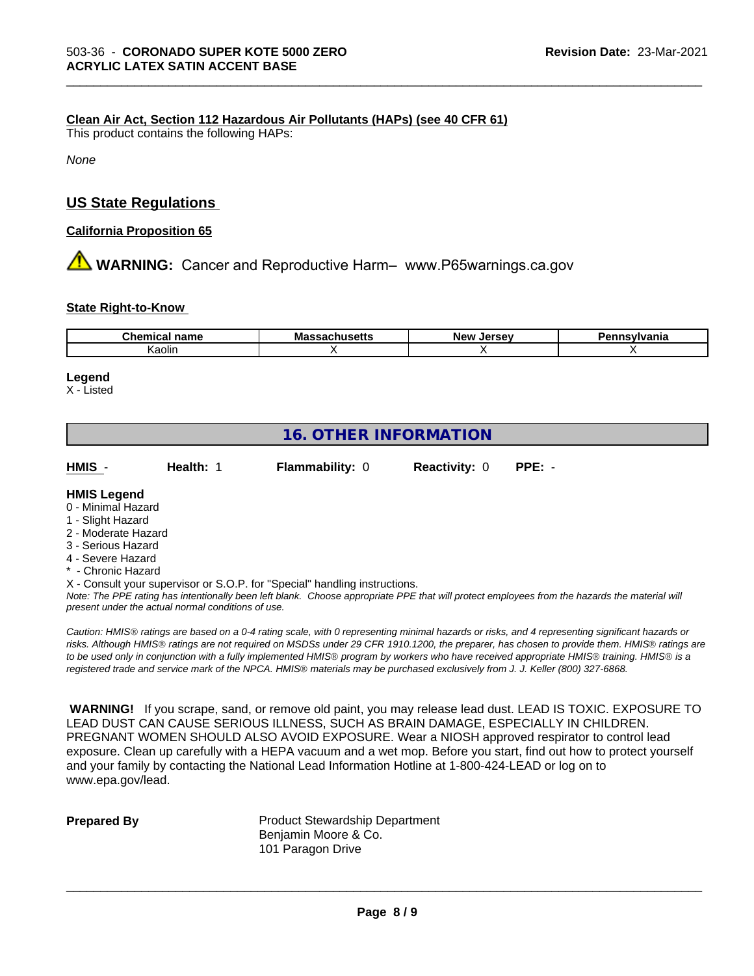#### **Clean Air Act,Section 112 Hazardous Air Pollutants (HAPs) (see 40 CFR 61)**

This product contains the following HAPs:

*None*

### **US State Regulations**

#### **California Proposition 65**

**AN** WARNING: Cancer and Reproductive Harm– www.P65warnings.ca.gov

#### **State Right-to-Know**

| $- - - - -$<br>---<br>∵ name<br><br>. | л -<br>ша<br>юсис | <b>Nev</b><br><u>ели.</u> | Пέ |
|---------------------------------------|-------------------|---------------------------|----|
| Kaolin                                |                   |                           |    |

\_\_\_\_\_\_\_\_\_\_\_\_\_\_\_\_\_\_\_\_\_\_\_\_\_\_\_\_\_\_\_\_\_\_\_\_\_\_\_\_\_\_\_\_\_\_\_\_\_\_\_\_\_\_\_\_\_\_\_\_\_\_\_\_\_\_\_\_\_\_\_\_\_\_\_\_\_\_\_\_\_\_\_\_\_\_\_\_\_\_\_\_\_

#### **Legend**

X - Listed

### **16. OTHER INFORMATION**

**HMIS** - **Health:** 1 **Flammability:** 0 **Reactivity:** 0 **PPE:** -

### **HMIS Legend**

- 0 Minimal Hazard
- 1 Slight Hazard
- 2 Moderate Hazard
- 3 Serious Hazard
- 4 Severe Hazard
- \* Chronic Hazard
- X Consult your supervisor or S.O.P. for "Special" handling instructions.

*Note: The PPE rating has intentionally been left blank. Choose appropriate PPE that will protect employees from the hazards the material will present under the actual normal conditions of use.*

*Caution: HMISÒ ratings are based on a 0-4 rating scale, with 0 representing minimal hazards or risks, and 4 representing significant hazards or risks. Although HMISÒ ratings are not required on MSDSs under 29 CFR 1910.1200, the preparer, has chosen to provide them. HMISÒ ratings are to be used only in conjunction with a fully implemented HMISÒ program by workers who have received appropriate HMISÒ training. HMISÒ is a registered trade and service mark of the NPCA. HMISÒ materials may be purchased exclusively from J. J. Keller (800) 327-6868.*

 **WARNING!** If you scrape, sand, or remove old paint, you may release lead dust. LEAD IS TOXIC. EXPOSURE TO LEAD DUST CAN CAUSE SERIOUS ILLNESS, SUCH AS BRAIN DAMAGE, ESPECIALLY IN CHILDREN. PREGNANT WOMEN SHOULD ALSO AVOID EXPOSURE.Wear a NIOSH approved respirator to control lead exposure. Clean up carefully with a HEPA vacuum and a wet mop. Before you start, find out how to protect yourself and your family by contacting the National Lead Information Hotline at 1-800-424-LEAD or log on to www.epa.gov/lead.

**Prepared By** Product Stewardship Department Benjamin Moore & Co. 101 Paragon Drive